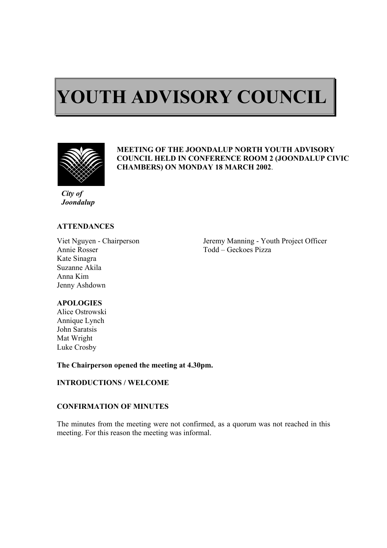# $\overline{a}$ **YOUTH ADVISORY COUNCIL**



ı

## **MEETING OF THE JOONDALUP NORTH YOUTH ADVISORY COUNCIL HELD IN CONFERENCE ROOM 2 (JOONDALUP CIVIC CHAMBERS) ON MONDAY 18 MARCH 2002**.

*City of Joondalup* 

## **ATTENDANCES**

Annie Rosser Todd – Geckoes Pizza Kate Sinagra Suzanne Akila Anna Kim Jenny Ashdown

Viet Nguyen - Chairperson Jeremy Manning - Youth Project Officer

## **APOLOGIES**

Alice Ostrowski Annique Lynch John Saratsis Mat Wright Luke Crosby

**The Chairperson opened the meeting at 4.30pm.** 

## **INTRODUCTIONS / WELCOME**

## **CONFIRMATION OF MINUTES**

The minutes from the meeting were not confirmed, as a quorum was not reached in this meeting. For this reason the meeting was informal.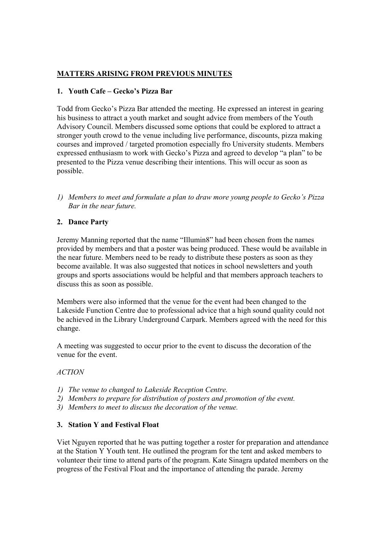# **MATTERS ARISING FROM PREVIOUS MINUTES**

# **1. Youth Cafe – Gecko's Pizza Bar**

Todd from Gecko's Pizza Bar attended the meeting. He expressed an interest in gearing his business to attract a youth market and sought advice from members of the Youth Advisory Council. Members discussed some options that could be explored to attract a stronger youth crowd to the venue including live performance, discounts, pizza making courses and improved / targeted promotion especially fro University students. Members expressed enthusiasm to work with Gecko's Pizza and agreed to develop "a plan" to be presented to the Pizza venue describing their intentions. This will occur as soon as possible.

*1) Members to meet and formulate a plan to draw more young people to Gecko's Pizza Bar in the near future.*

# **2. Dance Party**

Jeremy Manning reported that the name "Illumin8" had been chosen from the names provided by members and that a poster was being produced. These would be available in the near future. Members need to be ready to distribute these posters as soon as they become available. It was also suggested that notices in school newsletters and youth groups and sports associations would be helpful and that members approach teachers to discuss this as soon as possible.

Members were also informed that the venue for the event had been changed to the Lakeside Function Centre due to professional advice that a high sound quality could not be achieved in the Library Underground Carpark. Members agreed with the need for this change.

A meeting was suggested to occur prior to the event to discuss the decoration of the venue for the event.

## *ACTION*

- *1) The venue to changed to Lakeside Reception Centre.*
- *2) Members to prepare for distribution of posters and promotion of the event.*
- *3) Members to meet to discuss the decoration of the venue.*

# **3. Station Y and Festival Float**

Viet Nguyen reported that he was putting together a roster for preparation and attendance at the Station Y Youth tent. He outlined the program for the tent and asked members to volunteer their time to attend parts of the program. Kate Sinagra updated members on the progress of the Festival Float and the importance of attending the parade. Jeremy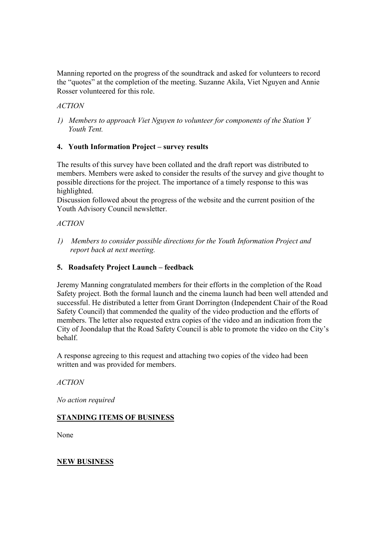Manning reported on the progress of the soundtrack and asked for volunteers to record the "quotes" at the completion of the meeting. Suzanne Akila, Viet Nguyen and Annie Rosser volunteered for this role.

# *ACTION*

*1) Members to approach Viet Nguyen to volunteer for components of the Station Y Youth Tent.* 

# **4. Youth Information Project – survey results**

The results of this survey have been collated and the draft report was distributed to members. Members were asked to consider the results of the survey and give thought to possible directions for the project. The importance of a timely response to this was highlighted.

Discussion followed about the progress of the website and the current position of the Youth Advisory Council newsletter.

# *ACTION*

*1) Members to consider possible directions for the Youth Information Project and report back at next meeting.*

# **5. Roadsafety Project Launch – feedback**

Jeremy Manning congratulated members for their efforts in the completion of the Road Safety project. Both the formal launch and the cinema launch had been well attended and successful. He distributed a letter from Grant Dorrington (Independent Chair of the Road Safety Council) that commended the quality of the video production and the efforts of members. The letter also requested extra copies of the video and an indication from the City of Joondalup that the Road Safety Council is able to promote the video on the City's behalf.

A response agreeing to this request and attaching two copies of the video had been written and was provided for members.

## *ACTION*

*No action required* 

# **STANDING ITEMS OF BUSINESS**

None

# **NEW BUSINESS**